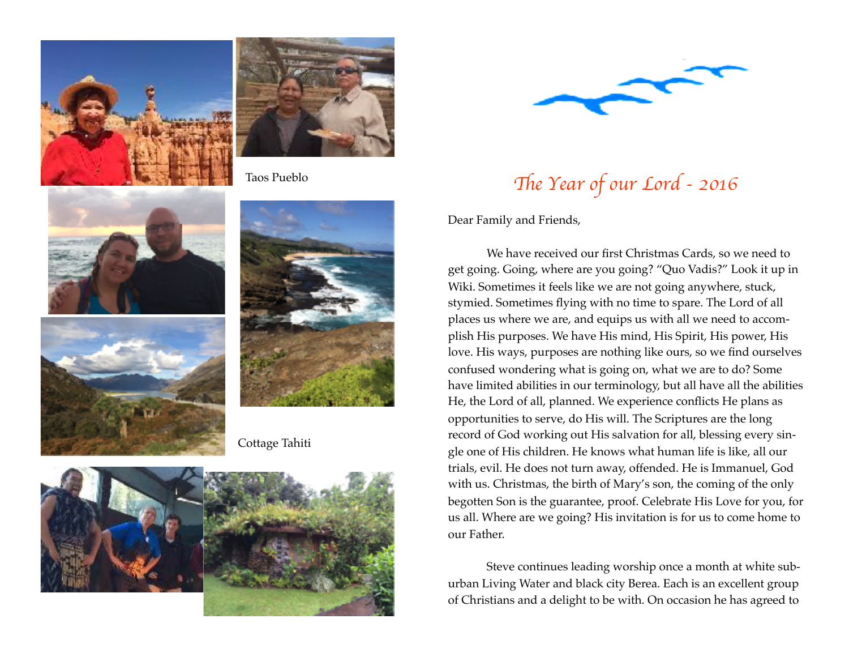



Taos Pueblo







Cottage Tahiti





## The Year of our Lord - 2016

Dear Family and Friends,

We have received our first Christmas Cards, so we need to get going. Going, where are you going? "Quo Vadis?" Look it up in Wiki. Sometimes it feels like we are not going anywhere, stuck, stymied. Sometimes flying with no time to spare. The Lord of all places us where we are, and equips us with all we need to accomplish His purposes. We have His mind, His Spirit, His power, His love. His ways, purposes are nothing like ours, so we find ourselves confused wondering what is going on, what we are to do? Some have limited abilities in our terminology, but all have all the abilities He, the Lord of all, planned. We experience conflicts He plans as opportunities to serve, do His will. The Scriptures are the long record of God working out His salvation for all, blessing every single one of His children. He knows what human life is like, all our trials, evil. He does not turn away, offended. He is Immanuel, God with us. Christmas, the birth of Mary's son, the coming of the only begotten Son is the guarantee, proof. Celebrate His Love for you, for us all. Where are we going? His invitation is for us to come home to our Father.

Steve continues leading worship once a month at white suburban Living Water and black city Berea. Each is an excellent group of Christians and a delight to be with. On occasion he has agreed to